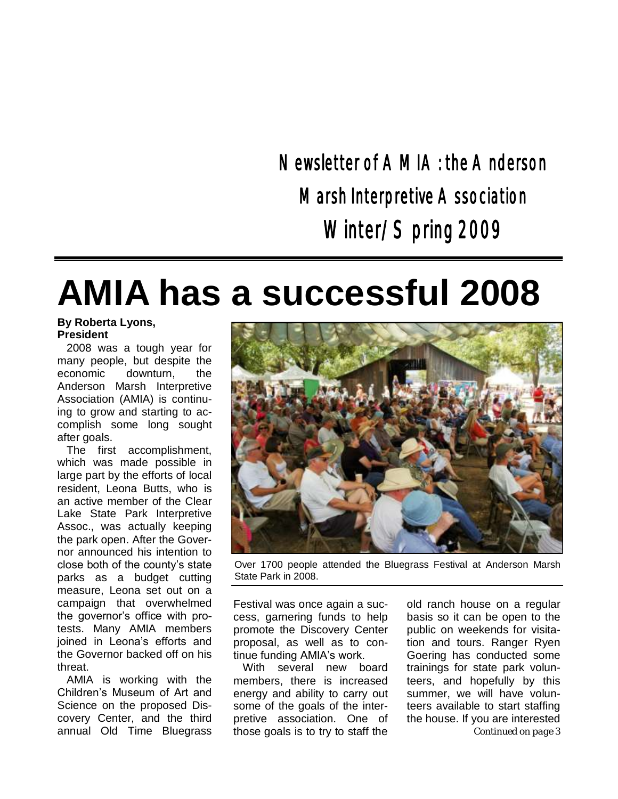Newsletter of AMIA: the Anderson Marsh Interpretive A ssociation Winter/Spring 2009

# **AMIA has a successful 2008**

#### **By Roberta Lyons, President**

2008 was a tough year for many people, but despite the economic downturn, the Anderson Marsh Interpretive Association (AMIA) is continuing to grow and starting to accomplish some long sought after goals.

The first accomplishment, which was made possible in large part by the efforts of local resident, Leona Butts, who is an active member of the Clear Lake State Park Interpretive Assoc., was actually keeping the park open. After the Governor announced his intention to close both of the county's state parks as a budget cutting measure, Leona set out on a campaign that overwhelmed the governor's office with protests. Many AMIA members joined in Leona's efforts and the Governor backed off on his threat.

AMIA is working with the Children's Museum of Art and Science on the proposed Discovery Center, and the third



Over 1700 people attended the Bluegrass Festival at Anderson Marsh State Park in 2008.

Festival was once again a success, garnering funds to help promote the Discovery Center proposal, as well as to continue funding AMIA's work.

annual Old Time Bluegrass those goals is to try to staff the **Continued on page 3** With several new board members, there is increased energy and ability to carry out some of the goals of the interpretive association. One of those goals is to try to staff the

old ranch house on a regular basis so it can be open to the public on weekends for visitation and tours. Ranger Ryen Goering has conducted some trainings for state park volunteers, and hopefully by this summer, we will have volunteers available to start staffing the house. If you are interested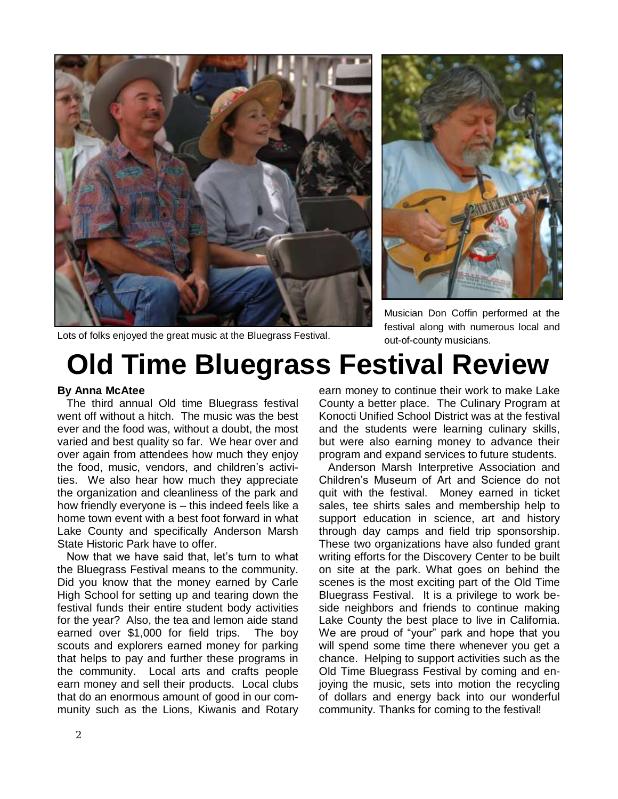

Musician Don Coffin performed at the festival along with numerous local and out-of-county musicians.

Lots of folks enjoyed the great music at the Bluegrass Festival.

## **Old Time Bluegrass Festival Review**

#### **By Anna McAtee**

The third annual Old time Bluegrass festival went off without a hitch. The music was the best ever and the food was, without a doubt, the most varied and best quality so far. We hear over and over again from attendees how much they enjoy the food, music, vendors, and children's activities. We also hear how much they appreciate the organization and cleanliness of the park and how friendly everyone is – this indeed feels like a home town event with a best foot forward in what Lake County and specifically Anderson Marsh State Historic Park have to offer.

Now that we have said that, let's turn to what the Bluegrass Festival means to the community. Did you know that the money earned by Carle High School for setting up and tearing down the festival funds their entire student body activities for the year? Also, the tea and lemon aide stand earned over \$1,000 for field trips. The boy scouts and explorers earned money for parking that helps to pay and further these programs in the community. Local arts and crafts people earn money and sell their products. Local clubs that do an enormous amount of good in our community such as the Lions, Kiwanis and Rotary earn money to continue their work to make Lake County a better place. The Culinary Program at Konocti Unified School District was at the festival and the students were learning culinary skills, but were also earning money to advance their program and expand services to future students.

Anderson Marsh Interpretive Association and Children's Museum of Art and Science do not quit with the festival. Money earned in ticket sales, tee shirts sales and membership help to support education in science, art and history through day camps and field trip sponsorship. These two organizations have also funded grant writing efforts for the Discovery Center to be built on site at the park. What goes on behind the scenes is the most exciting part of the Old Time Bluegrass Festival. It is a privilege to work beside neighbors and friends to continue making Lake County the best place to live in California. We are proud of "your" park and hope that you will spend some time there whenever you get a chance. Helping to support activities such as the Old Time Bluegrass Festival by coming and enjoying the music, sets into motion the recycling of dollars and energy back into our wonderful community. Thanks for coming to the festival!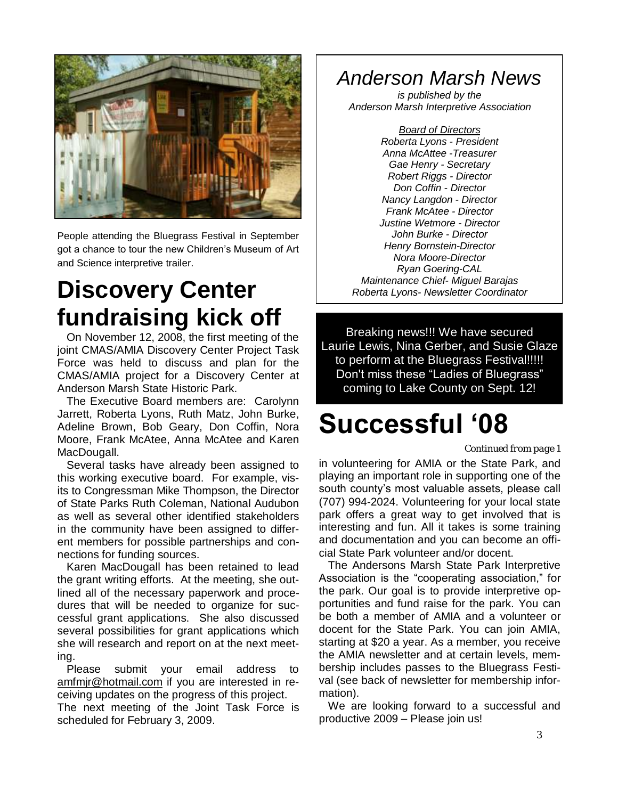

People attending the Bluegrass Festival in September got a chance to tour the new Children's Museum of Art and Science interpretive trailer.

### *Maintenance Chief- Miguel Barajas* **Discovery Center** *Roberta Lyons- Newsletter Coordinator* **fundraising kick off**

On November 12, 2008, the first meeting of the joint CMAS/AMIA Discovery Center Project Task Force was held to discuss and plan for the CMAS/AMIA project for a Discovery Center at Anderson Marsh State Historic Park.

The Executive Board members are: Carolynn Jarrett, Roberta Lyons, Ruth Matz, John Burke, Adeline Brown, Bob Geary, Don Coffin, Nora Moore, Frank McAtee, Anna McAtee and Karen MacDougall.

Several tasks have already been assigned to this working executive board. For example, visits to Congressman Mike Thompson, the Director of State Parks Ruth Coleman, National Audubon as well as several other identified stakeholders in the community have been assigned to different members for possible partnerships and connections for funding sources.

Karen MacDougall has been retained to lead the grant writing efforts. At the meeting, she outlined all of the necessary paperwork and procedures that will be needed to organize for successful grant applications. She also discussed several possibilities for grant applications which she will research and report on at the next meeting.

Please submit your email address to [amfmjr@hotmail.com](mailto:amfmjr@hotmail.com) if you are interested in receiving updates on the progress of this project.

The next meeting of the Joint Task Force is scheduled for February 3, 2009.

### *Anderson Marsh News*

*is published by the Anderson Marsh Interpretive Association*

*Board of Directors Roberta Lyons - President Anna McAttee -Treasurer Gae Henry - Secretary Robert Riggs - Director Don Coffin - Director Nancy Langdon - Director Frank McAtee - Director Justine Wetmore - Director John Burke - Director Henry Bornstein-Director Nora Moore-Director Ryan Goering-CAL*

Breaking news!!! We have secured Laurie Lewis, Nina Gerber, and Susie Glaze to perform at the Bluegrass Festival!!!!! Don't miss these "Ladies of Bluegrass" coming to Lake County on Sept. 12!

## **Successful '08**

#### *Continued from page 1*

in volunteering for AMIA or the State Park, and playing an important role in supporting one of the south county's most valuable assets, please call (707) 994-2024. Volunteering for your local state park offers a great way to get involved that is interesting and fun. All it takes is some training and documentation and you can become an official State Park volunteer and/or docent.

The Andersons Marsh State Park Interpretive Association is the "cooperating association," for the park. Our goal is to provide interpretive opportunities and fund raise for the park. You can be both a member of AMIA and a volunteer or docent for the State Park. You can join AMIA, starting at \$20 a year. As a member, you receive the AMIA newsletter and at certain levels, membership includes passes to the Bluegrass Festival (see back of newsletter for membership information).

We are looking forward to a successful and productive 2009 – Please join us!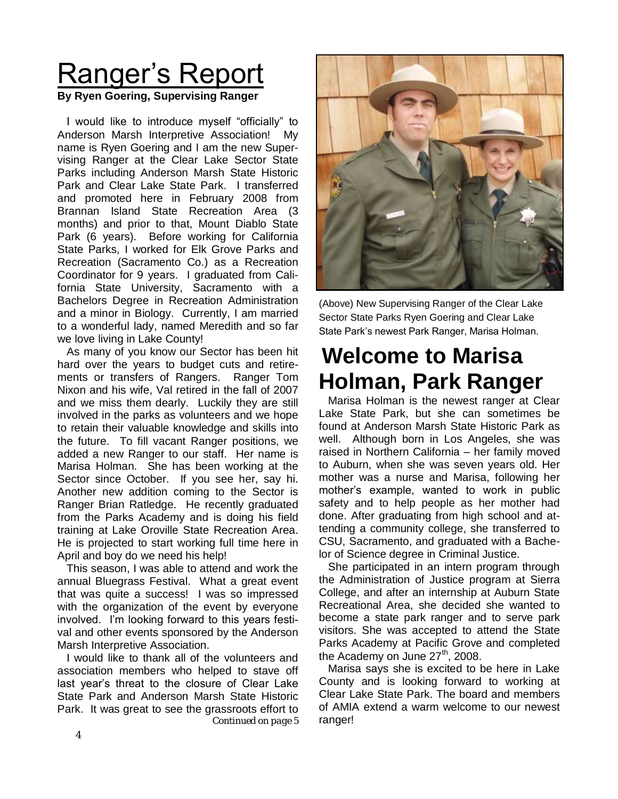# Ranger's Report

#### **By Ryen Goering, Supervising Ranger**

I would like to introduce myself "officially" to Anderson Marsh Interpretive Association! My name is Ryen Goering and I am the new Supervising Ranger at the Clear Lake Sector State Parks including Anderson Marsh State Historic Park and Clear Lake State Park. I transferred and promoted here in February 2008 from Brannan Island State Recreation Area (3 months) and prior to that, Mount Diablo State Park (6 years). Before working for California State Parks, I worked for Elk Grove Parks and Recreation (Sacramento Co.) as a Recreation Coordinator for 9 years. I graduated from California State University, Sacramento with a Bachelors Degree in Recreation Administration and a minor in Biology. Currently, I am married to a wonderful lady, named Meredith and so far we love living in Lake County!

As many of you know our Sector has been hit hard over the years to budget cuts and retirements or transfers of Rangers. Ranger Tom Nixon and his wife, Val retired in the fall of 2007 and we miss them dearly. Luckily they are still involved in the parks as volunteers and we hope to retain their valuable knowledge and skills into the future. To fill vacant Ranger positions, we added a new Ranger to our staff. Her name is Marisa Holman. She has been working at the Sector since October. If you see her, say hi. Another new addition coming to the Sector is Ranger Brian Ratledge. He recently graduated from the Parks Academy and is doing his field training at Lake Oroville State Recreation Area. He is projected to start working full time here in April and boy do we need his help!

This season, I was able to attend and work the annual Bluegrass Festival. What a great event that was quite a success! I was so impressed with the organization of the event by everyone involved. I'm looking forward to this years festival and other events sponsored by the Anderson Marsh Interpretive Association.

I would like to thank all of the volunteers and association members who helped to stave off last year's threat to the closure of Clear Lake State Park and Anderson Marsh State Historic Park. It was great to see the grassroots effort to *Continued on page 5* 



(Above) New Supervising Ranger of the Clear Lake Sector State Parks Ryen Goering and Clear Lake State Park's newest Park Ranger, Marisa Holman.

### **Welcome to Marisa Holman, Park Ranger**

Marisa Holman is the newest ranger at Clear Lake State Park, but she can sometimes be found at Anderson Marsh State Historic Park as well. Although born in Los Angeles, she was raised in Northern California – her family moved to Auburn, when she was seven years old. Her mother was a nurse and Marisa, following her mother's example, wanted to work in public safety and to help people as her mother had done. After graduating from high school and attending a community college, she transferred to CSU, Sacramento, and graduated with a Bachelor of Science degree in Criminal Justice.

She participated in an intern program through the Administration of Justice program at Sierra College, and after an internship at Auburn State Recreational Area, she decided she wanted to become a state park ranger and to serve park visitors. She was accepted to attend the State Parks Academy at Pacific Grove and completed the Academy on June  $27<sup>th</sup>$ , 2008.

Marisa says she is excited to be here in Lake County and is looking forward to working at Clear Lake State Park. The board and members of AMIA extend a warm welcome to our newest ranger!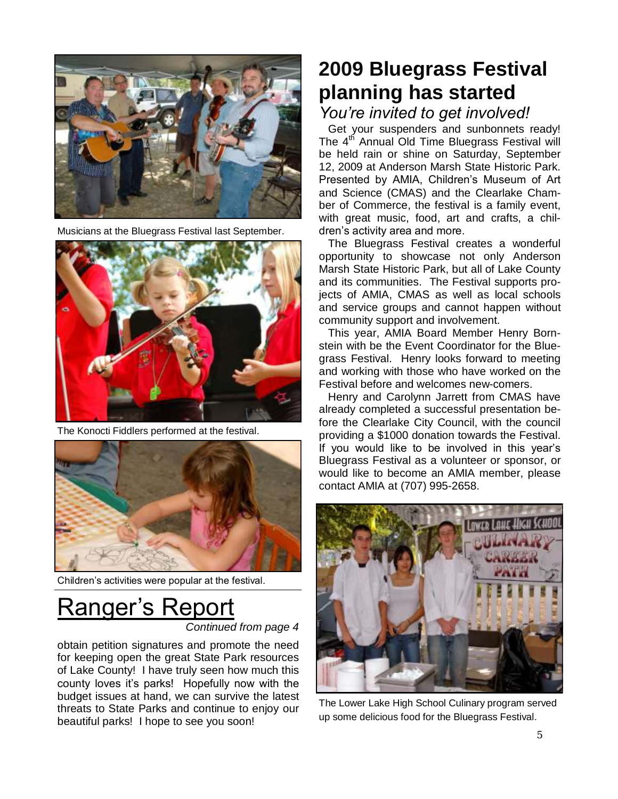

Musicians at the Bluegrass Festival last September.



The Konocti Fiddlers performed at the festival.



Children's activities were popular at the festival.

# Ranger's Report

*Continued from page 4*

obtain petition signatures and promote the need for keeping open the great State Park resources of Lake County! I have truly seen how much this county loves it's parks! Hopefully now with the budget issues at hand, we can survive the latest threats to State Parks and continue to enjoy our beautiful parks! I hope to see you soon!

### **2009 Bluegrass Festival planning has started**

### *You're invited to get involved!*

Get your suspenders and sunbonnets ready! The 4<sup>th</sup> Annual Old Time Bluegrass Festival will be held rain or shine on Saturday, September 12, 2009 at Anderson Marsh State Historic Park. Presented by AMIA, Children's Museum of Art and Science (CMAS) and the Clearlake Chamber of Commerce, the festival is a family event, with great music, food, art and crafts, a children's activity area and more.

The Bluegrass Festival creates a wonderful opportunity to showcase not only Anderson Marsh State Historic Park, but all of Lake County and its communities. The Festival supports projects of AMIA, CMAS as well as local schools and service groups and cannot happen without community support and involvement.

This year, AMIA Board Member Henry Bornstein with be the Event Coordinator for the Bluegrass Festival. Henry looks forward to meeting and working with those who have worked on the Festival before and welcomes new-comers.

Henry and Carolynn Jarrett from CMAS have already completed a successful presentation before the Clearlake City Council, with the council providing a \$1000 donation towards the Festival. If you would like to be involved in this year's Bluegrass Festival as a volunteer or sponsor, or would like to become an AMIA member, please contact AMIA at (707) 995-2658.



The Lower Lake High School Culinary program served up some delicious food for the Bluegrass Festival.